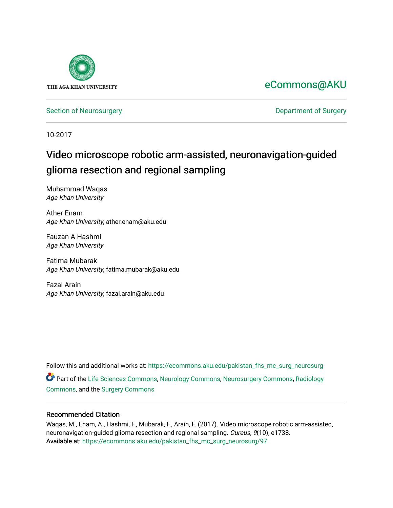

## [eCommons@AKU](https://ecommons.aku.edu/)

[Section of Neurosurgery](https://ecommons.aku.edu/pakistan_fhs_mc_surg_neurosurg) **Department of Surgery** Department of Surgery

10-2017

# Video microscope robotic arm-assisted, neuronavigation-guided glioma resection and regional sampling

Muhammad Waqas Aga Khan University

Ather Enam Aga Khan University, ather.enam@aku.edu

Fauzan A Hashmi Aga Khan University

Fatima Mubarak Aga Khan University, fatima.mubarak@aku.edu

Fazal Arain Aga Khan University, fazal.arain@aku.edu

Follow this and additional works at: [https://ecommons.aku.edu/pakistan\\_fhs\\_mc\\_surg\\_neurosurg](https://ecommons.aku.edu/pakistan_fhs_mc_surg_neurosurg?utm_source=ecommons.aku.edu%2Fpakistan_fhs_mc_surg_neurosurg%2F97&utm_medium=PDF&utm_campaign=PDFCoverPages)  Part of the [Life Sciences Commons,](http://network.bepress.com/hgg/discipline/1016?utm_source=ecommons.aku.edu%2Fpakistan_fhs_mc_surg_neurosurg%2F97&utm_medium=PDF&utm_campaign=PDFCoverPages) [Neurology Commons](http://network.bepress.com/hgg/discipline/692?utm_source=ecommons.aku.edu%2Fpakistan_fhs_mc_surg_neurosurg%2F97&utm_medium=PDF&utm_campaign=PDFCoverPages), [Neurosurgery Commons](http://network.bepress.com/hgg/discipline/1428?utm_source=ecommons.aku.edu%2Fpakistan_fhs_mc_surg_neurosurg%2F97&utm_medium=PDF&utm_campaign=PDFCoverPages), [Radiology](http://network.bepress.com/hgg/discipline/705?utm_source=ecommons.aku.edu%2Fpakistan_fhs_mc_surg_neurosurg%2F97&utm_medium=PDF&utm_campaign=PDFCoverPages)  [Commons](http://network.bepress.com/hgg/discipline/705?utm_source=ecommons.aku.edu%2Fpakistan_fhs_mc_surg_neurosurg%2F97&utm_medium=PDF&utm_campaign=PDFCoverPages), and the [Surgery Commons](http://network.bepress.com/hgg/discipline/706?utm_source=ecommons.aku.edu%2Fpakistan_fhs_mc_surg_neurosurg%2F97&utm_medium=PDF&utm_campaign=PDFCoverPages) 

#### Recommended Citation

Waqas, M., Enam, A., Hashmi, F., Mubarak, F., Arain, F. (2017). Video microscope robotic arm-assisted, neuronavigation-guided glioma resection and regional sampling. Cureus, 9(10), e1738. Available at: [https://ecommons.aku.edu/pakistan\\_fhs\\_mc\\_surg\\_neurosurg/97](https://ecommons.aku.edu/pakistan_fhs_mc_surg_neurosurg/97)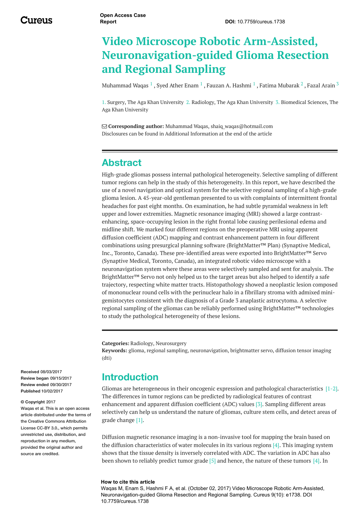# **Video Microscope Robotic Arm-Assisted, Neuronavigation-guided Glioma Resection and Regional Sampling**

[Muhammad](https://www.cureus.com/users/47183-muhammad-waqas) Waqas  $^1$  , Syed Ather [Enam](https://www.cureus.com/users/47191-syed-ather-enam)  $^1$  , Fauzan A. [Hashmi](https://www.cureus.com/users/47205-fauzan-a-hashmi)  $^1$  , Fatima [Mubarak](https://www.cureus.com/users/47190-fatima-mubarak)  $^2$  , Fazal [Arain](https://www.cureus.com/users/47275-fazal-arain)  $^3$ 

1. Surgery, The Aga Khan University 2. Radiology, The Aga Khan University 3. Biomedical Sciences, The Aga Khan University

 **Corresponding author:** Muhammad Waqas, shaiq\_waqas@hotmail.com Disclosures can be found in Additional Information at the end of the article

### **Abstract**

High-grade gliomas possess internal pathological heterogeneity. Selective sampling of different tumor regions can help in the study of this heterogeneity. In this report, we have described the use of a novel navigation and optical system for the selective regional sampling of a high-grade glioma lesion. A 45-year-old gentleman presented to us with complaints of intermittent frontal headaches for past eight months. On examination, he had subtle pyramidal weakness in left upper and lower extremities. Magnetic resonance imaging (MRI) showed a large contrastenhancing, space-occupying lesion in the right frontal lobe causing perilesional edema and midline shift. We marked four different regions on the preoperative MRI using apparent diffusion coefficient (ADC) mapping and contrast enhancement pattern in four different combinations using presurgical planning software (BrightMatter™ Plan) (Synaptive Medical, Inc., Toronto, Canada). These pre-identified areas were exported into BrightMatter™ Servo (Synaptive Medical, Toronto, Canada), an integrated robotic video microscope with a neuronavigation system where these areas were selectively sampled and sent for analysis. The BrightMatter™ Servo not only helped us to the target areas but also helped to identify a safe trajectory, respecting white matter tracts. Histopathology showed a neoplastic lesion composed of mononuclear round cells with the perinuclear halo in a fibrillary stroma with admixed minigemistocytes consistent with the diagnosis of a Grade 3 anaplastic astrocytoma. A selective regional sampling of the gliomas can be reliably performed using BrightMatter™ technologies to study the pathological heterogeneity of these lesions.

**Categories:** Radiology, Neurosurgery

**Keywords:** glioma, regional sampling, neuronavigation, brightmatter servo, diffusion tensor imaging (dti)

#### **Introduction**

Gliomas are heterogeneous in their oncogenic expression and pathological characteristics [1-2]. The differences in tumor regions can be predicted by radiological features of contrast enhancement and apparent diffusion coefficient (ADC) values [3]. Sampling different areas selectively can help us understand the nature of gliomas, culture stem cells, and detect areas of grade change [1].

Diffusion magnetic resonance imaging is a non-invasive tool for mapping the brain based on the diffusion characteristics of water molecules in its various regions [4]. This imaging system shows that the tissue density is inversely correlated with ADC. The variation in ADC has also been shown to reliably predict tumor grade  $[5]$  and hence, the nature of these tumors  $[4]$ . In

#### **How to cite this article**

Waqas M, Enam S, Hashmi F A, et al. (October 02, 2017) Video Microscope Robotic Arm-Assisted, Neuronavigation-guided Glioma Resection and Regional Sampling. Cureus 9(10): e1738. DOI 10.7759/cureus.1738

**Received** 08/03/2017 **Review began** 09/15/2017 **Review ended** 09/30/2017 **Published** 10/02/2017

#### **© Copyright** 2017

Waqas et al. This is an open access article distributed under the terms of the Creative Commons Attribution License CC-BY 3.0., which permits unrestricted use, distribution, and reproduction in any medium, provided the original author and source are credited.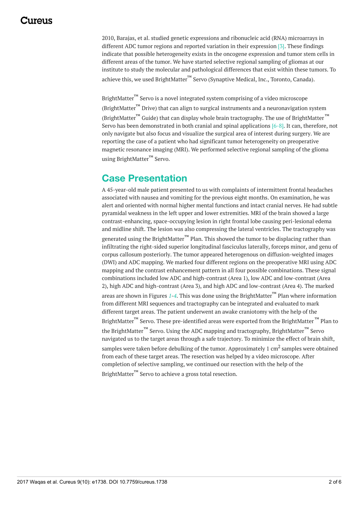<span id="page-2-0"></span>2010, Barajas, et al. studied genetic expressions and ribonucleic acid (RNA) microarrays in different ADC tumor regions and reported variation in their expression [3]. These findings indicate that possible heterogeneity exists in the oncogene expression and tumor stem cells in different areas of the tumor. We have started selective regional sampling of gliomas at our institute to study the molecular and pathological differences that exist within these tumors. To achieve this, we used BrightMatter™ Servo (Synaptive Medical, Inc., Toronto, Canada).

BrightMatter<sup>™</sup> Servo is a novel integrated system comprising of a video microscope (BrightMatter<sup>™</sup> Drive) that can align to surgical instruments and a neuronavigation system (BrightMatter™ Guide) that can display whole brain tractography. The use of BrightMatter™ Servo has been demonstrated in both cranial and spinal applications [6-8]. It can, therefore, not only navigate but also focus and visualize the surgical area of interest during surgery. We are reporting the case of a patient who had significant tumor heterogeneity on preoperative magnetic resonance imaging (MRI). We performed selective regional sampling of the glioma using BrightMatter™ Servo.

## **Case Presentation**

A 45-year-old male patient presented to us with complaints of intermittent frontal headaches associated with nausea and vomiting for the previous eight months. On examination, he was alert and oriented with normal higher mental functions and intact cranial nerves. He had subtle pyramidal weakness in the left upper and lower extremities. MRI of the brain showed a large contrast-enhancing, space-occupying lesion in right frontal lobe causing peri-lesional edema and midline shift. The lesion was also compressing the lateral ventricles. The tractography was generated using the BrightMatter™ Plan. This showed the tumor to be displacing rather than infiltrating the right-sided superior longitudinal fasciculus laterally, forceps minor, and genu of corpus callosum posteriorly. The tumor appeared heterogenous on diffusion-weighted images (DWI) and ADC mapping. We marked four different regions on the preoperative MRI using ADC mapping and the contrast enhancement pattern in all four possible combinations. These signal combinations included low ADC and high-contrast (Area 1), low ADC and low-contrast (Area 2), high ADC and high-contrast (Area 3), and high ADC and low-contrast (Area 4). The marked areas are shown in Figures *[1](#page-2-0)*-*[4](#page-3-0)*. This was done using the BrightMatter™ Plan where information from different MRI sequences and tractography can be integrated and evaluated to mark different target areas. The patient underwent an awake craniotomy with the help of the BrightMatter™ Servo. These pre-identified areas were exported from the BrightMatter™ Plan to the BrightMatter™ Servo. Using the ADC mapping and tractography. BrightMatter™ Servo navigated us to the target areas through a safe trajectory. To minimize the effect of brain shift, samples were taken before debulking of the tumor. Approximately 1 cm $^2$  samples were obtained from each of these target areas. The resection was helped by a video microscope. After completion of selective sampling, we continued our resection with the help of the BrightMatter™ Servo to achieve a gross total resection.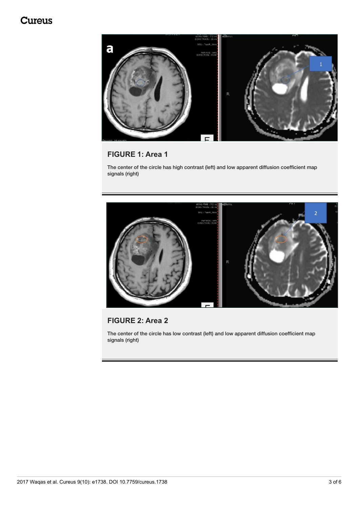## **Cureus**



#### **FIGURE 1: Area 1**

The center of the circle has high contrast (left) and low apparent diffusion coefficient map signals (right)

<span id="page-3-0"></span>

#### **FIGURE 2: Area 2**

The center of the circle has low contrast (left) and low apparent diffusion coefficient map signals (right)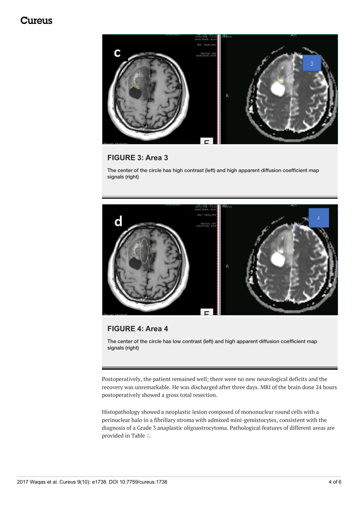### <span id="page-4-0"></span>tureus.



#### **FIGURE 3: Area 3**

The center of the circle has high contrast (left) and high apparent diffusion coefficient map signals (right)



#### **FIGURE 4: Area 4**

The center of the circle has low contrast (left) and high apparent diffusion coefficient map signals (right)

Postoperatively, the patient remained well; there were no new neurological deficits and the recovery was unremarkable. He was discharged after three days. MRI of the brain done 24 hours postoperatively showed a gross total resection.

Histopathology showed a neoplastic lesion composed of mononuclear round cells with a perinuclear halo in a fibrillary stroma with admixed mini-gemistocytes, consistent with the diagnosis of a Grade 3 anaplastic oligoastrocytoma. Pathological features of different areas are provided in Table *[1](#page-4-0)*.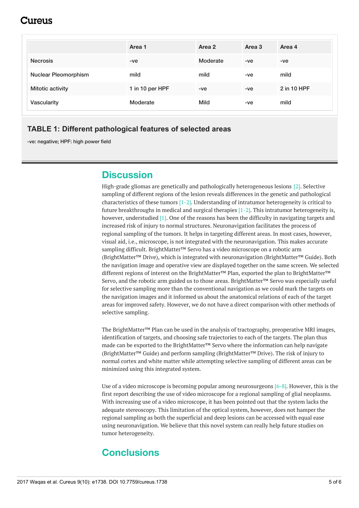## 1117e11S

|                             | Area 1          | Area 2   | Area 3 | Area 4      |
|-----------------------------|-----------------|----------|--------|-------------|
| <b>Necrosis</b>             | -ve             | Moderate | -ve    | $-ve$       |
| <b>Nuclear Pleomorphism</b> | mild            | mild     | -ve    | mild        |
| <b>Mitotic activity</b>     | 1 in 10 per HPF | $-ve$    | $-ve$  | 2 in 10 HPF |
| <b>Vascularity</b>          | Moderate        | Mild     | -ve    | mild        |

#### **TABLE 1: Different pathological features of selected areas**

-ve: negative; HPF: high power field

## **Discussion**

High-grade gliomas are genetically and pathologically heterogeneous lesions [2]. Selective sampling of different regions of the lesion reveals differences in the genetic and pathological characteristics of these tumors [1-2]. Understanding of intratumor heterogeneity is critical to future breakthroughs in medical and surgical therapies  $[1-2]$ . This intratumor heterogeneity is, however, understudied [1]. One of the reasons has been the difficulty in navigating targets and increased risk of injury to normal structures. Neuronavigation facilitates the process of regional sampling of the tumors. It helps in targeting different areas. In most cases, however, visual aid, i.e., microscope, is not integrated with the neuronavigation. This makes accurate sampling difficult. BrightMatter™ Servo has a video microscope on a robotic arm (BrightMatter™ Drive), which is integrated with neuronavigation (BrightMatter™ Guide). Both the navigation image and operative view are displayed together on the same screen. We selected different regions of interest on the BrightMatter™ Plan, exported the plan to BrightMatter™ Servo, and the robotic arm guided us to those areas. BrightMatter™ Servo was especially useful for selective sampling more than the conventional navigation as we could mark the targets on the navigation images and it informed us about the anatomical relations of each of the target areas for improved safety. However, we do not have a direct comparison with other methods of selective sampling.

The BrightMatter™ Plan can be used in the analysis of tractography, preoperative MRI images, identification of targets, and choosing safe trajectories to each of the targets. The plan thus made can be exported to the BrightMatter™ Servo where the information can help navigate (BrightMatter™ Guide) and perform sampling (BrightMatter™ Drive). The risk of injury to normal cortex and white matter while attempting selective sampling of different areas can be minimized using this integrated system.

Use of a video microscope is becoming popular among neurosurgeons  $[6-8]$ . However, this is the first report describing the use of video microscope for a regional sampling of glial neoplasms. With increasing use of a video microscope, it has been pointed out that the system lacks the adequate stereoscopy. This limitation of the optical system, however, does not hamper the regional sampling as both the superficial and deep lesions can be accessed with equal ease using neuronavigation. We believe that this novel system can really help future studies on tumor heterogeneity.

## **Conclusions**